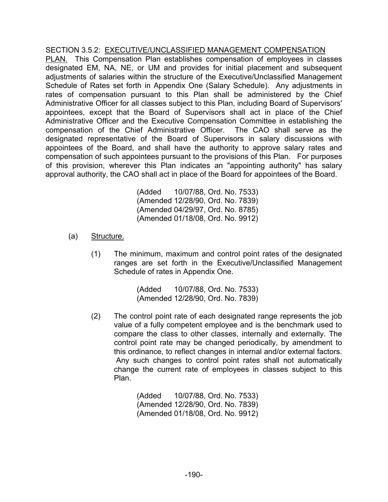## SECTION 3.5.2: EXECUTIVE/UNCLASSIFIED MANAGEMENT COMPENSATION

PLAN. This Compensation Plan establishes compensation of employees in classes designated EM, NA, NE, or UM and provides for initial placement and subsequent adjustments of salaries within the structure of the Executive/Unclassified Management Schedule of Rates set forth in Appendix One (Salary Schedule). Any adjustments in rates of compensation pursuant to this Plan shall be administered by the Chief Administrative Officer for all classes subject to this Plan, including Board of Supervisors' appointees, except that the Board of Supervisors shall act in place of the Chief Administrative Officer and the Executive Compensation Committee in establishing the compensation of the Chief Administrative Officer. The CAO shall serve as the designated representative of the Board of Supervisors in salary discussions with appointees of the Board, and shall have the authority to approve salary rates and compensation of such appointees pursuant to the provisions of this Plan. For purposes of this provision, wherever this Plan indicates an "appointing authority" has salary approval authority, the CAO shall act in place of the Board for appointees of the Board.

> (Added 10/07/88, Ord. No. 7533) (Amended 12/28/90, Ord. No. 7839) (Amended 04/29/97, Ord. No. 8785) (Amended 01/18/08, Ord. No. 9912)

- (a) Structure.
	- (1) The minimum, maximum and control point rates of the designated ranges are set forth in the Executive/Unclassified Management Schedule of rates in Appendix One.

(Added 10/07/88, Ord. No. 7533) (Amended 12/28/90, Ord. No. 7839)

(2) The control point rate of each designated range represents the job value of a fully competent employee and is the benchmark used to compare the class to other classes, internally and externally. The control point rate may be changed periodically, by amendment to this ordinance, to reflect changes in internal and/or external factors. Any such changes to control point rates shall not automatically change the current rate of employees in classes subject to this Plan.

> (Added 10/07/88, Ord. No. 7533) (Amended 12/28/90, Ord. No. 7839) (Amended 01/18/08, Ord. No. 9912)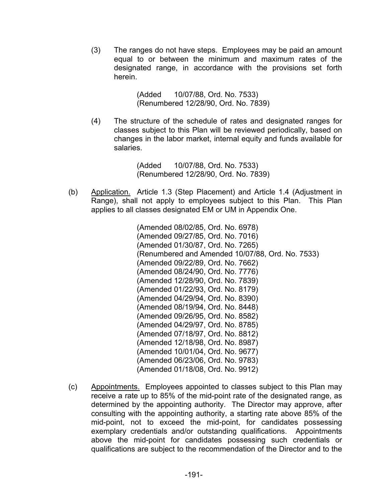(3) The ranges do not have steps. Employees may be paid an amount equal to or between the minimum and maximum rates of the designated range, in accordance with the provisions set forth herein.

> (Added 10/07/88, Ord. No. 7533) (Renumbered 12/28/90, Ord. No. 7839)

(4) The structure of the schedule of rates and designated ranges for classes subject to this Plan will be reviewed periodically, based on changes in the labor market, internal equity and funds available for salaries.

> (Added 10/07/88, Ord. No. 7533) (Renumbered 12/28/90, Ord. No. 7839)

 (b) Application. Article 1.3 (Step Placement) and Article 1.4 (Adjustment in Range), shall not apply to employees subject to this Plan. This Plan applies to all classes designated EM or UM in Appendix One.

> (Amended 08/02/85, Ord. No. 6978) (Amended 09/27/85, Ord. No. 7016) (Amended 01/30/87, Ord. No. 7265) (Renumbered and Amended 10/07/88, Ord. No. 7533) (Amended 09/22/89, Ord. No. 7662) (Amended 08/24/90, Ord. No. 7776) (Amended 12/28/90, Ord. No. 7839) (Amended 01/22/93, Ord. No. 8179) (Amended 04/29/94, Ord. No. 8390) (Amended 08/19/94, Ord. No. 8448) (Amended 09/26/95, Ord. No. 8582) (Amended 04/29/97, Ord. No. 8785) (Amended 07/18/97, Ord. No. 8812) (Amended 12/18/98, Ord. No. 8987) (Amended 10/01/04, Ord. No. 9677) (Amended 06/23/06, Ord. No. 9783) (Amended 01/18/08, Ord. No. 9912)

(c) Appointments. Employees appointed to classes subject to this Plan may receive a rate up to 85% of the mid-point rate of the designated range, as determined by the appointing authority. The Director may approve, after consulting with the appointing authority, a starting rate above 85% of the mid-point, not to exceed the mid-point, for candidates possessing exemplary credentials and/or outstanding qualifications. Appointments above the mid-point for candidates possessing such credentials or qualifications are subject to the recommendation of the Director and to the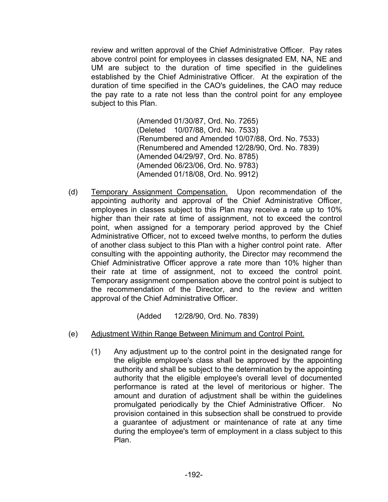review and written approval of the Chief Administrative Officer. Pay rates above control point for employees in classes designated EM, NA, NE and UM are subject to the duration of time specified in the guidelines established by the Chief Administrative Officer. At the expiration of the duration of time specified in the CAO's guidelines, the CAO may reduce the pay rate to a rate not less than the control point for any employee subject to this Plan.

> (Amended 01/30/87, Ord. No. 7265) (Deleted 10/07/88, Ord. No. 7533) (Renumbered and Amended 10/07/88, Ord. No. 7533) (Renumbered and Amended 12/28/90, Ord. No. 7839) (Amended 04/29/97, Ord. No. 8785) (Amended 06/23/06, Ord. No. 9783) (Amended 01/18/08, Ord. No. 9912)

(d) Temporary Assignment Compensation. Upon recommendation of the appointing authority and approval of the Chief Administrative Officer, employees in classes subject to this Plan may receive a rate up to 10% higher than their rate at time of assignment, not to exceed the control point, when assigned for a temporary period approved by the Chief Administrative Officer, not to exceed twelve months, to perform the duties of another class subject to this Plan with a higher control point rate. After consulting with the appointing authority, the Director may recommend the Chief Administrative Officer approve a rate more than 10% higher than their rate at time of assignment, not to exceed the control point. Temporary assignment compensation above the control point is subject to the recommendation of the Director, and to the review and written approval of the Chief Administrative Officer.

(Added 12/28/90, Ord. No. 7839)

- (e) Adjustment Within Range Between Minimum and Control Point.
	- (1) Any adjustment up to the control point in the designated range for the eligible employee's class shall be approved by the appointing authority and shall be subject to the determination by the appointing authority that the eligible employee's overall level of documented performance is rated at the level of meritorious or higher. The amount and duration of adjustment shall be within the guidelines promulgated periodically by the Chief Administrative Officer. No provision contained in this subsection shall be construed to provide a guarantee of adjustment or maintenance of rate at any time during the employee's term of employment in a class subject to this Plan.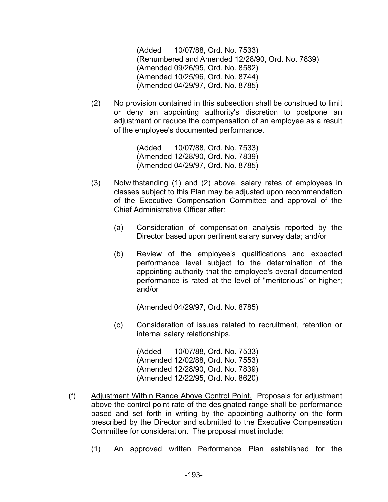(Added 10/07/88, Ord. No. 7533) (Renumbered and Amended 12/28/90, Ord. No. 7839) (Amended 09/26/95, Ord. No. 8582) (Amended 10/25/96, Ord. No. 8744) (Amended 04/29/97, Ord. No. 8785)

(2) No provision contained in this subsection shall be construed to limit or deny an appointing authority's discretion to postpone an adjustment or reduce the compensation of an employee as a result of the employee's documented performance.

> (Added 10/07/88, Ord. No. 7533) (Amended 12/28/90, Ord. No. 7839) (Amended 04/29/97, Ord. No. 8785)

- (3) Notwithstanding (1) and (2) above, salary rates of employees in classes subject to this Plan may be adjusted upon recommendation of the Executive Compensation Committee and approval of the Chief Administrative Officer after:
	- (a) Consideration of compensation analysis reported by the Director based upon pertinent salary survey data; and/or
	- (b) Review of the employee's qualifications and expected performance level subject to the determination of the appointing authority that the employee's overall documented performance is rated at the level of "meritorious" or higher; and/or

(Amended 04/29/97, Ord. No. 8785)

(c) Consideration of issues related to recruitment, retention or internal salary relationships.

> (Added 10/07/88, Ord. No. 7533) (Amended 12/02/88, Ord. No. 7553) (Amended 12/28/90, Ord. No. 7839) (Amended 12/22/95, Ord. No. 8620)

- (f) Adjustment Within Range Above Control Point. Proposals for adjustment above the control point rate of the designated range shall be performance based and set forth in writing by the appointing authority on the form prescribed by the Director and submitted to the Executive Compensation Committee for consideration. The proposal must include:
	- (1) An approved written Performance Plan established for the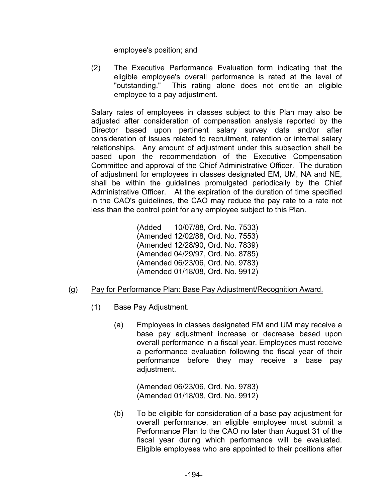employee's position; and

(2) The Executive Performance Evaluation form indicating that the eligible employee's overall performance is rated at the level of "outstanding." This rating alone does not entitle an eligible employee to a pay adjustment.

 Salary rates of employees in classes subject to this Plan may also be adjusted after consideration of compensation analysis reported by the Director based upon pertinent salary survey data and/or after consideration of issues related to recruitment, retention or internal salary relationships. Any amount of adjustment under this subsection shall be based upon the recommendation of the Executive Compensation Committee and approval of the Chief Administrative Officer. The duration of adjustment for employees in classes designated EM, UM, NA and NE, shall be within the guidelines promulgated periodically by the Chief Administrative Officer. At the expiration of the duration of time specified in the CAO's guidelines, the CAO may reduce the pay rate to a rate not less than the control point for any employee subject to this Plan.

> (Added 10/07/88, Ord. No. 7533) (Amended 12/02/88, Ord. No. 7553) (Amended 12/28/90, Ord. No. 7839) (Amended 04/29/97, Ord. No. 8785) (Amended 06/23/06, Ord. No. 9783) (Amended 01/18/08, Ord. No. 9912)

- (g) Pay for Performance Plan: Base Pay Adjustment/Recognition Award.
	- (1) Base Pay Adjustment.
		- (a) Employees in classes designated EM and UM may receive a base pay adjustment increase or decrease based upon overall performance in a fiscal year. Employees must receive a performance evaluation following the fiscal year of their performance before they may receive a base pay adjustment.

(Amended 06/23/06, Ord. No. 9783) (Amended 01/18/08, Ord. No. 9912)

(b) To be eligible for consideration of a base pay adjustment for overall performance, an eligible employee must submit a Performance Plan to the CAO no later than August 31 of the fiscal year during which performance will be evaluated. Eligible employees who are appointed to their positions after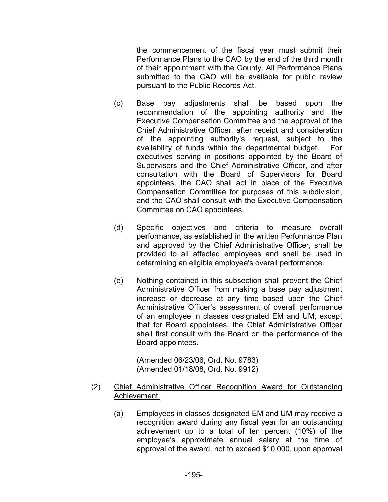the commencement of the fiscal year must submit their Performance Plans to the CAO by the end of the third month of their appointment with the County. All Performance Plans submitted to the CAO will be available for public review pursuant to the Public Records Act.

- (c) Base pay adjustments shall be based upon the recommendation of the appointing authority and the Executive Compensation Committee and the approval of the Chief Administrative Officer, after receipt and consideration of the appointing authority's request, subject to the availability of funds within the departmental budget. For executives serving in positions appointed by the Board of Supervisors and the Chief Administrative Officer, and after consultation with the Board of Supervisors for Board appointees, the CAO shall act in place of the Executive Compensation Committee for purposes of this subdivision, and the CAO shall consult with the Executive Compensation Committee on CAO appointees.
- (d) Specific objectives and criteria to measure overall performance, as established in the written Performance Plan and approved by the Chief Administrative Officer, shall be provided to all affected employees and shall be used in determining an eligible employee's overall performance.
- (e) Nothing contained in this subsection shall prevent the Chief Administrative Officer from making a base pay adjustment increase or decrease at any time based upon the Chief Administrative Officer's assessment of overall performance of an employee in classes designated EM and UM, except that for Board appointees, the Chief Administrative Officer shall first consult with the Board on the performance of the Board appointees.

(Amended 06/23/06, Ord. No. 9783) (Amended 01/18/08, Ord. No. 9912)

- (2) Chief Administrative Officer Recognition Award for Outstanding Achievement.
	- (a) Employees in classes designated EM and UM may receive a recognition award during any fiscal year for an outstanding achievement up to a total of ten percent (10%) of the employee's approximate annual salary at the time of approval of the award, not to exceed \$10,000, upon approval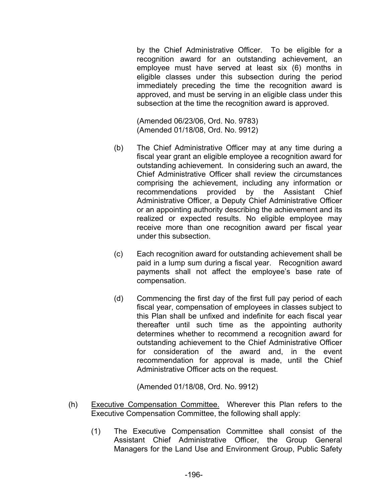by the Chief Administrative Officer. To be eligible for a recognition award for an outstanding achievement, an employee must have served at least six (6) months in eligible classes under this subsection during the period immediately preceding the time the recognition award is approved, and must be serving in an eligible class under this subsection at the time the recognition award is approved.

(Amended 06/23/06, Ord. No. 9783) (Amended 01/18/08, Ord. No. 9912)

- (b) The Chief Administrative Officer may at any time during a fiscal year grant an eligible employee a recognition award for outstanding achievement. In considering such an award, the Chief Administrative Officer shall review the circumstances comprising the achievement, including any information or recommendations provided by the Assistant Chief Administrative Officer, a Deputy Chief Administrative Officer or an appointing authority describing the achievement and its realized or expected results. No eligible employee may receive more than one recognition award per fiscal year under this subsection.
- (c) Each recognition award for outstanding achievement shall be paid in a lump sum during a fiscal year. Recognition award payments shall not affect the employee's base rate of compensation.
- (d) Commencing the first day of the first full pay period of each fiscal year, compensation of employees in classes subject to this Plan shall be unfixed and indefinite for each fiscal year thereafter until such time as the appointing authority determines whether to recommend a recognition award for outstanding achievement to the Chief Administrative Officer for consideration of the award and, in the event recommendation for approval is made, until the Chief Administrative Officer acts on the request.

(Amended 01/18/08, Ord. No. 9912)

- (h) Executive Compensation Committee. Wherever this Plan refers to the Executive Compensation Committee, the following shall apply:
	- (1) The Executive Compensation Committee shall consist of the Assistant Chief Administrative Officer, the Group General Managers for the Land Use and Environment Group, Public Safety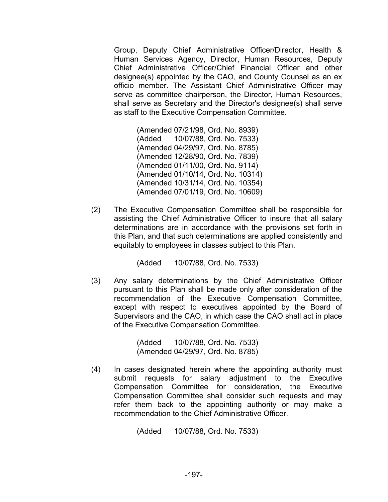Group, Deputy Chief Administrative Officer/Director, Health & Human Services Agency, Director, Human Resources, Deputy Chief Administrative Officer/Chief Financial Officer and other designee(s) appointed by the CAO, and County Counsel as an ex officio member. The Assistant Chief Administrative Officer may serve as committee chairperson, the Director, Human Resources, shall serve as Secretary and the Director's designee(s) shall serve as staff to the Executive Compensation Committee.

> (Amended 07/21/98, Ord. No. 8939) (Added 10/07/88, Ord. No. 7533) (Amended 04/29/97, Ord. No. 8785) (Amended 12/28/90, Ord. No. 7839) (Amended 01/11/00, Ord. No. 9114) (Amended 01/10/14, Ord. No. 10314) (Amended 10/31/14, Ord. No. 10354) (Amended 07/01/19, Ord. No. 10609)

(2) The Executive Compensation Committee shall be responsible for assisting the Chief Administrative Officer to insure that all salary determinations are in accordance with the provisions set forth in this Plan, and that such determinations are applied consistently and equitably to employees in classes subject to this Plan.

(Added 10/07/88, Ord. No. 7533)

(3) Any salary determinations by the Chief Administrative Officer pursuant to this Plan shall be made only after consideration of the recommendation of the Executive Compensation Committee, except with respect to executives appointed by the Board of Supervisors and the CAO, in which case the CAO shall act in place of the Executive Compensation Committee.

> (Added 10/07/88, Ord. No. 7533) (Amended 04/29/97, Ord. No. 8785)

(4) In cases designated herein where the appointing authority must submit requests for salary adjustment to the Executive Compensation Committee for consideration, the Executive Compensation Committee shall consider such requests and may refer them back to the appointing authority or may make a recommendation to the Chief Administrative Officer.

(Added 10/07/88, Ord. No. 7533)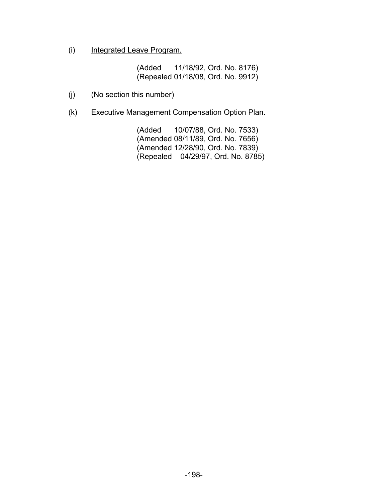(i) Integrated Leave Program.

(Added 11/18/92, Ord. No. 8176) (Repealed 01/18/08, Ord. No. 9912)

- (j) (No section this number)
- (k) Executive Management Compensation Option Plan.

(Added 10/07/88, Ord. No. 7533) (Amended 08/11/89, Ord. No. 7656) (Amended 12/28/90, Ord. No. 7839) (Repealed 04/29/97, Ord. No. 8785)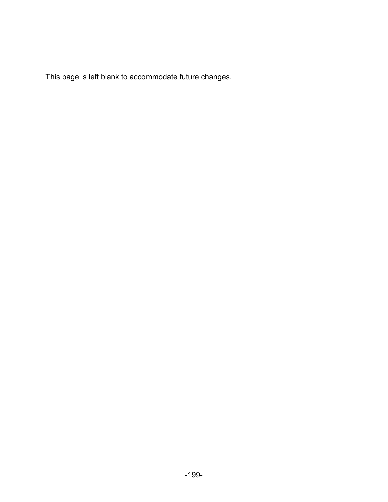This page is left blank to accommodate future changes.